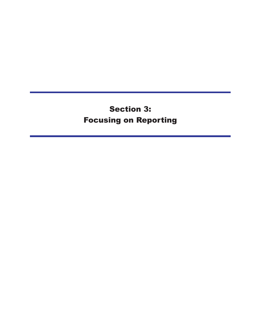# **Section 3: Focusing on Reporting**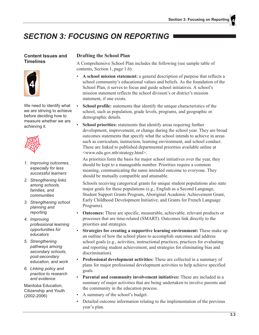## **SECTION 3: FOCUSING ON REPORTING**

#### **Content Issues and Timelines**



We need to identify what we are striving to achieve before deciding how to measure whether we are achieving it.



- 1. Improving outcomes, especially for less successful learners
- 2. Strengthening links among schools. families, and communities
- 3. Strengthening school planning and reporting
- 4. Improving professional learning opportunities for educators
- 5. Strengthening pathways among secondary schools, post-secondary education, and work
- 6. Linking policy and practice to research and evidence

Manitoba Education. Citizenship and Youth  $(2002 - 2006)$ 

#### **Drafting the School Plan**

A Comprehensive School Plan includes the following (see sample table of contents, Section 1, page 1.6):

- A school mission statement: a general description of purpose that reflects a school community's educational values and beliefs. As the foundation of the School Plan, it serves to focus and guide school initiatives. A school's mission statement reflects the school division's or district's mission statement, if one exists.
- $\bullet$ **School profile:** statements that identify the unique characteristics of the school, such as population, grade levels, programs, and geographic or demographic details.
- **School priorities:** statements that identify areas requiring further development, improvement, or change during the school year. They are broad outcomes statements that specify what the school intends to achieve in areas such as curriculum, instruction, learning environment, and school conduct. These are linked to published departmental priorities available online at <www.edu.gov.mb/strategy.html>.

As priorities form the basis for major school initiatives over the year, they should be kept to a manageable number. Priorities require a common meaning, communicating the same intended outcome to everyone. They should be mutually compatible and attainable.

Schools receiving categorical grants for unique student populations also state major goals for these populations (e.g., English as a Second Language, Student Support Grants Program, Aboriginal Academic Achievement Grant, Early Childhood Development Initiative, and Grants for French Language Programs).

- $\bullet$ **Outcomes:** These are specific, measurable, achievable, relevant products or processes that are time-related (SMART). Outcomes link directly to the priorities and strategies.
- $\bullet$ Strategies for creating a supportive learning environment: These make up an outline of how the school plans to accomplish outcomes and address school goals (e.g., activities, instructional practices, practices for evaluating and reporting student achievement, and strategies for eliminating bias and discrimination).
- Professional development activities: These are collected in a summary of plans for major professional development activities to help achieve specified goals.
- $\bullet$ Parental and community involvement initiatives: These are included in a summary of major activities that are being undertaken to involve parents and the community in the education process.
- A summary of the school's budget.
- Detailed outcome information relating to the implementation of the previous  $\bullet$ year's plan.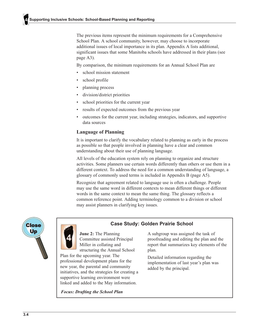The previous items represent the minimum requirements for a Comprehensive School Plan. A school community, however, may choose to incorporate additional issues of local importance in its plan. Appendix A lists additional, significant issues that some Manitoba schools have addressed in their plans (see page A3).

By comparison, the minimum requirements for an Annual School Plan are

- school mission statement
- school profile
- planning process
- division/district priorities
- school priorities for the current year
- results of expected outcomes from the previous year
- outcomes for the current year, including strategies, indicators, and supportive data sources

#### **Language of Planning**

It is important to clarify the vocabulary related to planning as early in the process as possible so that people involved in planning have a clear and common understanding about their use of planning language.

All levels of the education system rely on planning to organize and structure activities. Some planners use certain words differently than others or use them in a different context. To address the need for a common understanding of language, a glossary of commonly used terms is included in Appendix B (page A5).

Recognize that agreement related to language use is often a challenge. People may use the same word in different contexts to mean different things or different words in the same context to mean the same thing. The glossary reflects a common reference point. Adding terminology common to a division or school may assist planners in clarifying key issues.





#### **Case Study: Golden Prairie School**

June 2: The Planning Committee assisted Principal Miller in collating and structuring the Annual School

Plan for the upcoming year. The professional development plans for the new year, the parental and community initiatives, and the strategies for creating a supportive learning environment were linked and added to the May information.

**Focus: Drafting the School Plan** 

A subgroup was assigned the task of proofreading and editing the plan and the report that summarizes key elements of the plan.

Detailed information regarding the implementation of last year's plan was added by the principal.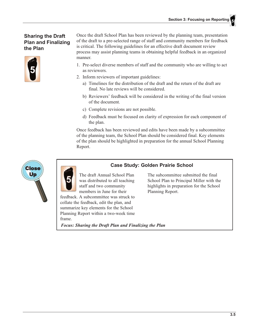### **Sharing the Draft Plan and Finalizing** the Plan



Once the draft School Plan has been reviewed by the planning team, presentation of the draft to a pre-selected range of staff and community members for feedback is critical. The following guidelines for an effective draft document review process may assist planning teams in obtaining helpful feedback in an organized manner.

- 1. Pre-select diverse members of staff and the community who are willing to act as reviewers.
- 2. Inform reviewers of important guidelines:
	- a) Timelines for the distribution of the draft and the return of the draft are final. No late reviews will be considered.
	- b) Reviewers' feedback will be considered in the writing of the final version of the document.
	- c) Complete revisions are not possible.
	- d) Feedback must be focused on clarity of expression for each component of the plan.

Once feedback has been reviewed and edits have been made by a subcommittee of the planning team, the School Plan should be considered final. Key elements of the plan should be highlighted in preparation for the annual School Planning Report.



### **Case Study: Golden Prairie School**

The draft Annual School Plan was distributed to all teaching staff and two community members in June for their

feedback. A subcommittee was struck to collate the feedback, edit the plan, and summarize key elements for the School Planning Report within a two-week time frame.

**Focus: Sharing the Draft Plan and Finalizing the Plan** 

The subcommittee submitted the final School Plan to Principal Miller with the highlights in preparation for the School Planning Report.